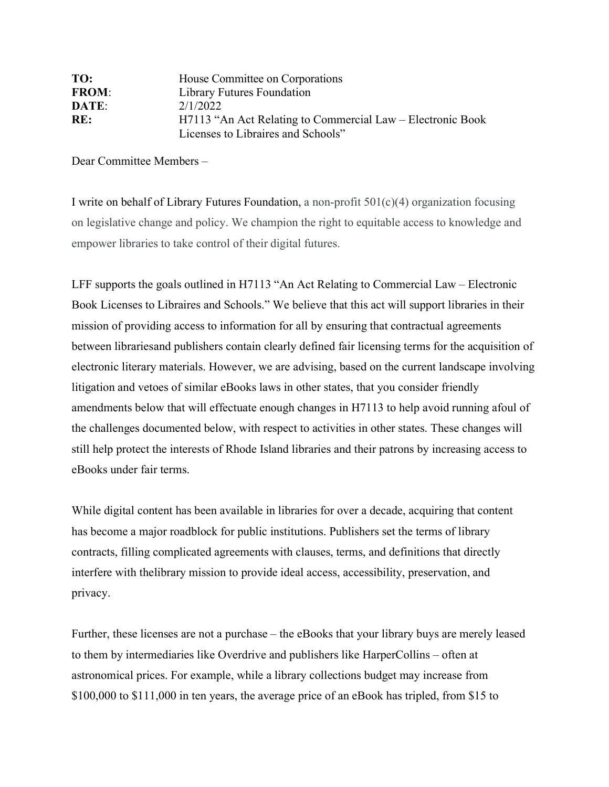| TO:          | House Committee on Corporations                            |
|--------------|------------------------------------------------------------|
| <b>FROM:</b> | Library Futures Foundation                                 |
| DATE:        | 2/1/2022                                                   |
| RE:          | H7113 "An Act Relating to Commercial Law – Electronic Book |
|              | Licenses to Libraires and Schools"                         |

Dear Committee Members –

I write on behalf of Library Futures Foundation, a non-profit  $501(c)(4)$  organization focusing on legislative change and policy. We champion the right to equitable access to knowledge and empower libraries to take control of their digital futures.

LFF supports the goals outlined in H7113 "An Act Relating to Commercial Law – Electronic Book Licenses to Libraires and Schools." We believe that this act will support libraries in their mission of providing access to information for all by ensuring that contractual agreements between librariesand publishers contain clearly defined fair licensing terms for the acquisition of electronic literary materials. However, we are advising, based on the current landscape involving litigation and vetoes of similar eBooks laws in other states, that you consider friendly amendments below that will effectuate enough changes in H7113 to help avoid running afoul of the challenges documented below, with respect to activities in other states. These changes will still help protect the interests of Rhode Island libraries and their patrons by increasing access to eBooks under fair terms.

While digital content has been available in libraries for over a decade, acquiring that content has become a major roadblock for public institutions. Publishers set the terms of library contracts, filling complicated agreements with clauses, terms, and definitions that directly interfere with thelibrary mission to provide ideal access, accessibility, preservation, and privacy.

Further, these licenses are not a purchase – the eBooks that your library buys are merely leased to them by intermediaries like Overdrive and publishers like HarperCollins – often at astronomical prices. For example, while a library collections budget may increase from \$100,000 to \$111,000 in ten years, the average price of an eBook has tripled, from \$15 to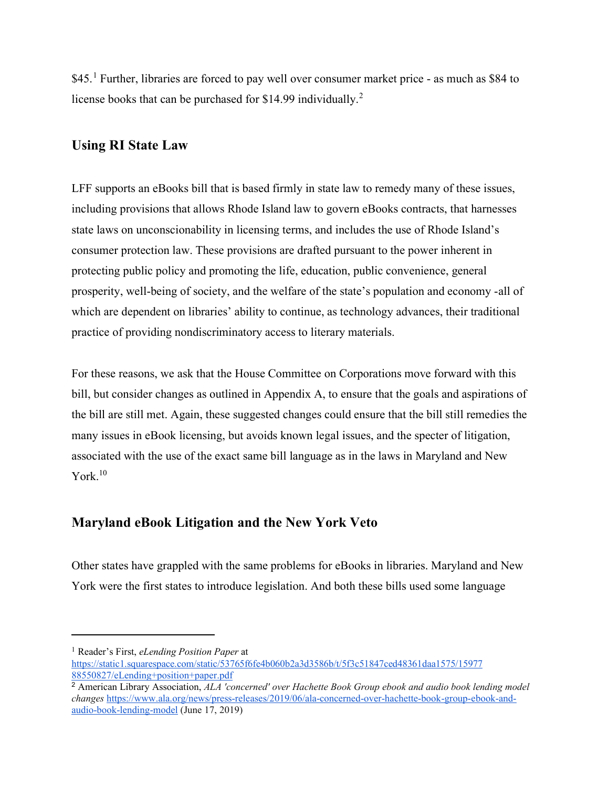$$45<sup>1</sup>$  $$45<sup>1</sup>$  $$45<sup>1</sup>$  Further, libraries are forced to pay well over consumer market price - as much as \$84 to license books that can be purchased for \$14.99 individually.<sup>[2](#page-1-1)</sup>

# **Using RI State Law**

LFF supports an eBooks bill that is based firmly in state law to remedy many of these issues, including provisions that allows Rhode Island law to govern eBooks contracts, that harnesses state laws on unconscionability in licensing terms, and includes the use of Rhode Island's consumer protection law. These provisions are drafted pursuant to the power inherent in protecting public policy and promoting the life, education, public convenience, general prosperity, well-being of society, and the welfare of the state's population and economy -all of which are dependent on libraries' ability to continue, as technology advances, their traditional practice of providing nondiscriminatory access to literary materials.

For these reasons, we ask that the House Committee on Corporations move forward with this bill, but consider changes as outlined in Appendix A, to ensure that the goals and aspirations of the bill are still met. Again, these suggested changes could ensure that the bill still remedies the many issues in eBook licensing, but avoids known legal issues, and the specter of litigation, associated with the use of the exact same bill language as in the laws in Maryland and New York. 10

## **Maryland eBook Litigation and the New York Veto**

Other states have grappled with the same problems for eBooks in libraries. Maryland and New York were the first states to introduce legislation. And both these bills used some language

<span id="page-1-0"></span><sup>1</sup> Reader's First, *eLending Position Paper* at

[https://static1.squarespace.com/static/53765f6fe4b060b2a3d3586b/t/5f3c51847ced48361daa1575/15977](https://static1.squarespace.com/static/53765f6fe4b060b2a3d3586b/t/5f3c51847ced48361daa1575/1597788550827/eLending%2Bposition%2Bpaper.pdf) [88550827/eLending+position+paper.pdf](https://static1.squarespace.com/static/53765f6fe4b060b2a3d3586b/t/5f3c51847ced48361daa1575/1597788550827/eLending%2Bposition%2Bpaper.pdf)

<span id="page-1-1"></span><sup>2</sup> American Library Association, *ALA 'concerned' over Hachette Book Group ebook and audio book lending model changes* [https://www.ala.org/news/press-releases/2019/06/ala-concerned-over-hachette-book-group-ebook-and](https://www.ala.org/news/press-releases/2019/06/ala-concerned-over-hachette-book-group-ebook-and-audio-book-lending-model)[audio-book-lending-model](https://www.ala.org/news/press-releases/2019/06/ala-concerned-over-hachette-book-group-ebook-and-audio-book-lending-model) (June 17, 2019)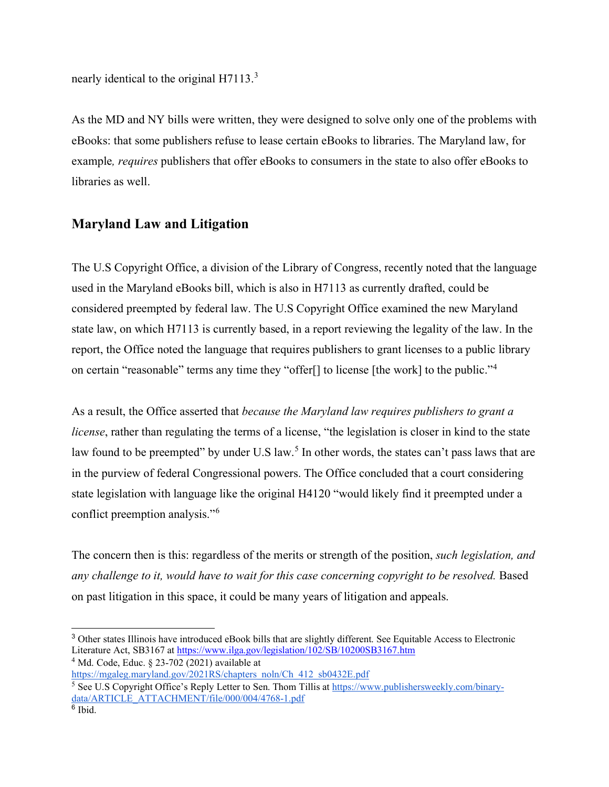nearly identical to the original H711[3](#page-2-0).<sup>3</sup>

As the MD and NY bills were written, they were designed to solve only one of the problems with eBooks: that some publishers refuse to lease certain eBooks to libraries. The Maryland law, for example*, requires* publishers that offer eBooks to consumers in the state to also offer eBooks to libraries as well.

# **Maryland Law and Litigation**

The U.S Copyright Office, a division of the Library of Congress, recently noted that the language used in the Maryland eBooks bill, which is also in H7113 as currently drafted, could be considered preempted by federal law. The U.S Copyright Office examined the new Maryland state law, on which H7113 is currently based, in a report reviewing the legality of the law. In the report, the Office noted the language that requires publishers to grant licenses to a public library on certain "reasonable" terms any time they "offer[] to license [the work] to the public."[4](#page-2-1)

As a result, the Office asserted that *because the Maryland law requires publishers to grant a license*, rather than regulating the terms of a license, "the legislation is closer in kind to the state law found to be preempted" by under U.S law.<sup>[5](#page-2-2)</sup> In other words, the states can't pass laws that are in the purview of federal Congressional powers. The Office concluded that a court considering state legislation with language like the original H4120 "would likely find it preempted under a conflict preemption analysis."[6](#page-2-3)

The concern then is this: regardless of the merits or strength of the position, *such legislation, and any challenge to it, would have to wait for this case concerning copyright to be resolved.* Based on past litigation in this space, it could be many years of litigation and appeals.

<span id="page-2-0"></span><sup>3</sup> Other states Illinois have introduced eBook bills that are slightly different. See Equitable Access to Electronic Literature Act, SB3167 at [https://www.ilga.gov/legislation/102/SB/10200SB3167.htm](about:blank)

<span id="page-2-1"></span> $4$  Md. Code, Educ.  $8$  23-702 (2021) available at

[https://mgaleg.maryland.gov/2021RS/chapters\\_noln/Ch\\_412\\_sb0432E.pdf](about:blank)

<span id="page-2-2"></span><sup>5</sup> See U.S Copyright Office's Reply Letter to Sen. Thom Tillis at [https://www.publishersweekly.com/binary](about:blank)[data/ARTICLE\\_ATTACHMENT/file/000/004/4768-1.pdf](about:blank)

<span id="page-2-3"></span><sup>6</sup> Ibid.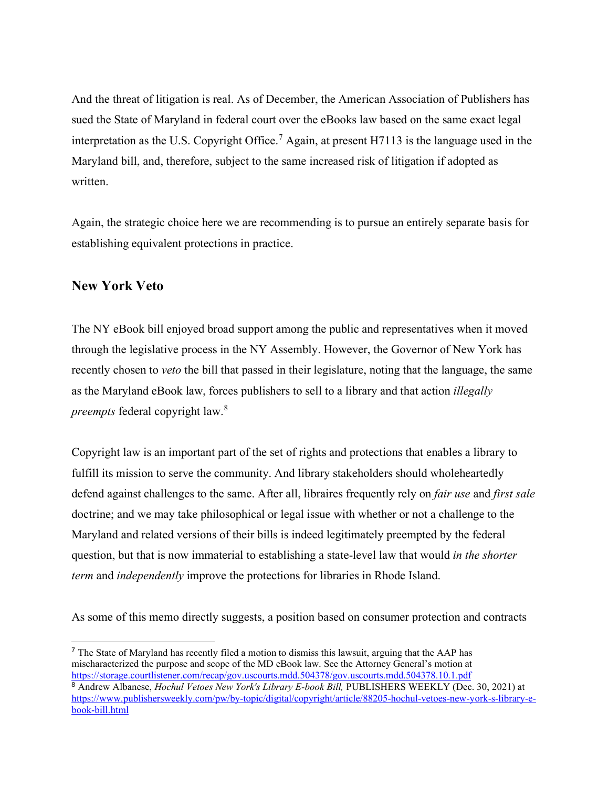And the threat of litigation is real. As of December, the American Association of Publishers has sued the State of Maryland in federal court over the eBooks law based on the same exact legal interpretation as the U.S. Copyright Office.<sup>[7](#page-3-0)</sup> Again, at present H7113 is the language used in the Maryland bill, and, therefore, subject to the same increased risk of litigation if adopted as written.

Again, the strategic choice here we are recommending is to pursue an entirely separate basis for establishing equivalent protections in practice.

### **New York Veto**

The NY eBook bill enjoyed broad support among the public and representatives when it moved through the legislative process in the NY Assembly. However, the Governor of New York has recently chosen to *veto* the bill that passed in their legislature, noting that the language, the same as the Maryland eBook law, forces publishers to sell to a library and that action *illegally preempts* federal copyright law.[8](#page-3-1)

Copyright law is an important part of the set of rights and protections that enables a library to fulfill its mission to serve the community. And library stakeholders should wholeheartedly defend against challenges to the same. After all, libraires frequently rely on *fair use* and *first sale* doctrine; and we may take philosophical or legal issue with whether or not a challenge to the Maryland and related versions of their bills is indeed legitimately preempted by the federal question, but that is now immaterial to establishing a state-level law that would *in the shorter term* and *independently* improve the protections for libraries in Rhode Island.

As some of this memo directly suggests, a position based on consumer protection and contracts

<span id="page-3-1"></span><span id="page-3-0"></span> $<sup>7</sup>$  The State of Maryland has recently filed a motion to dismiss this lawsuit, arguing that the AAP has</sup> mischaracterized the purpose and scope of the MD eBook law. See the Attorney General's motion at [https://storage.courtlistener.com/recap/gov.uscourts.mdd.504378/gov.uscourts.mdd.504378.10.1.pdf](about:blank) <sup>8</sup> Andrew Albanese, *Hochul Vetoes New York's Library E-book Bill,* PUBLISHERS WEEKLY (Dec. 30, 2021) at [https://www.publishersweekly.com/pw/by-topic/digital/copyright/article/88205-hochul-vetoes-new-york-s-library-e](about:blank)[book-bill.html](about:blank)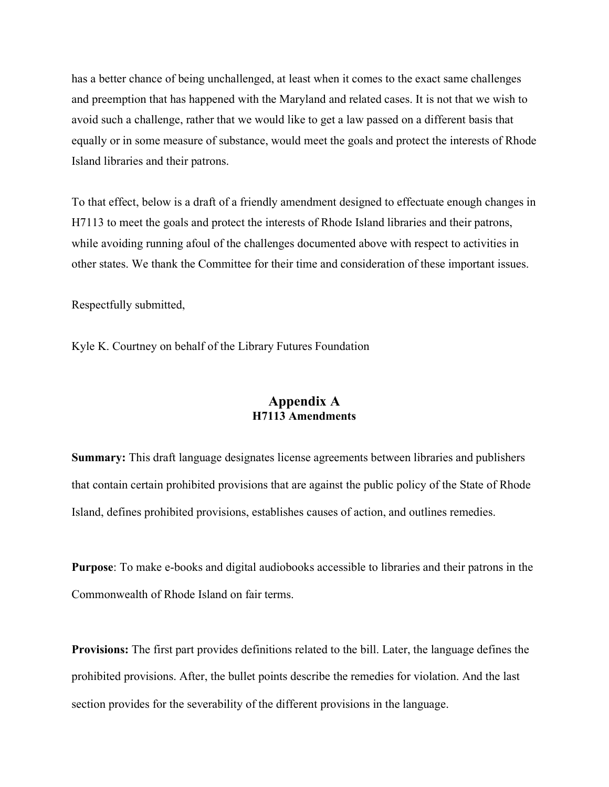has a better chance of being unchallenged, at least when it comes to the exact same challenges and preemption that has happened with the Maryland and related cases. It is not that we wish to avoid such a challenge, rather that we would like to get a law passed on a different basis that equally or in some measure of substance, would meet the goals and protect the interests of Rhode Island libraries and their patrons.

To that effect, below is a draft of a friendly amendment designed to effectuate enough changes in H7113 to meet the goals and protect the interests of Rhode Island libraries and their patrons, while avoiding running afoul of the challenges documented above with respect to activities in other states. We thank the Committee for their time and consideration of these important issues.

Respectfully submitted,

Kyle K. Courtney on behalf of the Library Futures Foundation

### **Appendix A H7113 Amendments**

**Summary:** This draft language designates license agreements between libraries and publishers that contain certain prohibited provisions that are against the public policy of the State of Rhode Island, defines prohibited provisions, establishes causes of action, and outlines remedies.

**Purpose**: To make e-books and digital audiobooks accessible to libraries and their patrons in the Commonwealth of Rhode Island on fair terms.

**Provisions:** The first part provides definitions related to the bill. Later, the language defines the prohibited provisions. After, the bullet points describe the remedies for violation. And the last section provides for the severability of the different provisions in the language.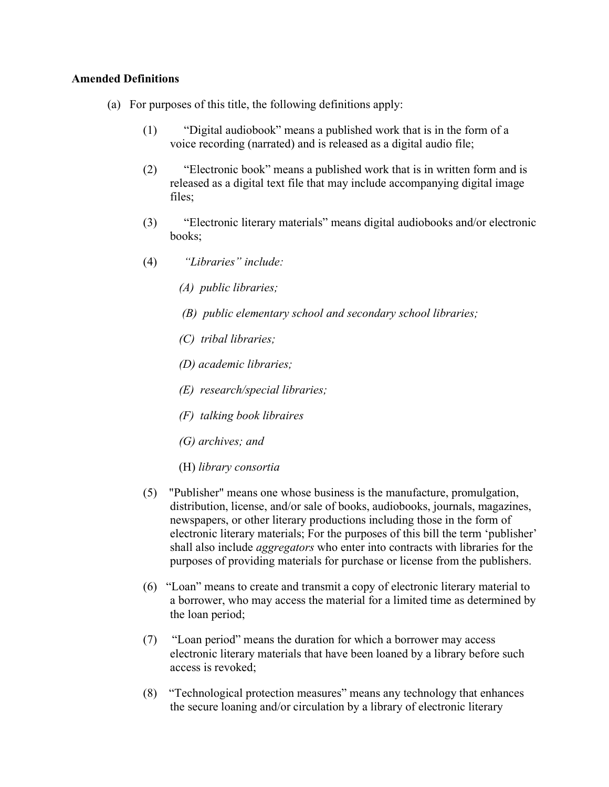#### **Amended Definitions**

- (a) For purposes of this title, the following definitions apply:
	- (1) "Digital audiobook" means a published work that is in the form of a voice recording (narrated) and is released as a digital audio file;
	- (2) "Electronic book" means a published work that is in written form and is released as a digital text file that may include accompanying digital image files;
	- (3) "Electronic literary materials" means digital audiobooks and/or electronic books;
	- (4) *"Libraries" include:*
		- *(A) public libraries;*
		- *(B) public elementary school and secondary school libraries;*
		- *(C) tribal libraries;*
		- *(D) academic libraries;*
		- *(E) research/special libraries;*
		- *(F) talking book libraires*
		- *(G) archives; and*
		- (H) *library consortia*
	- (5) "Publisher" means one whose business is the manufacture, promulgation, distribution, license, and/or sale of books, audiobooks, journals, magazines, newspapers, or other literary productions including those in the form of electronic literary materials; For the purposes of this bill the term 'publisher' shall also include *aggregators* who enter into contracts with libraries for the purposes of providing materials for purchase or license from the publishers.
	- (6) "Loan" means to create and transmit a copy of electronic literary material to a borrower, who may access the material for a limited time as determined by the loan period;
	- (7) "Loan period" means the duration for which a borrower may access electronic literary materials that have been loaned by a library before such access is revoked;
	- (8) "Technological protection measures" means any technology that enhances the secure loaning and/or circulation by a library of electronic literary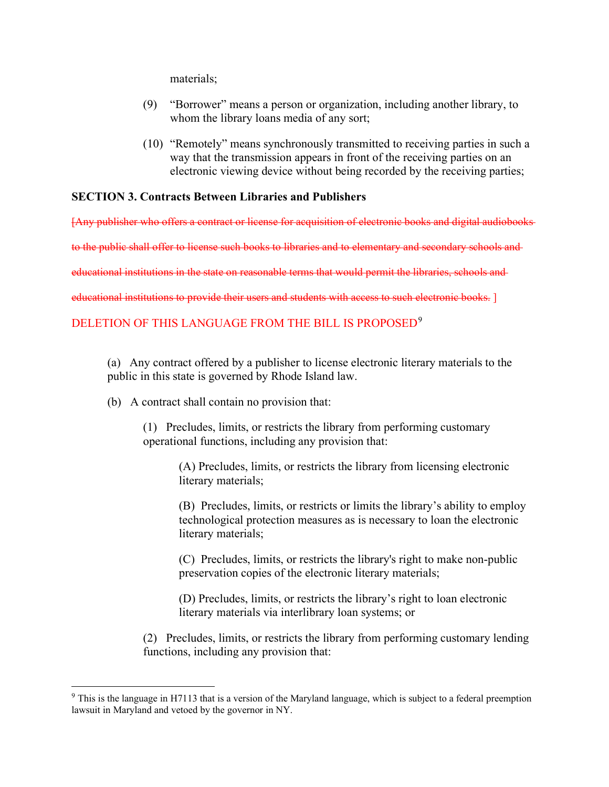materials;

- (9) "Borrower" means a person or organization, including another library, to whom the library loans media of any sort;
- (10) "Remotely" means synchronously transmitted to receiving parties in such a way that the transmission appears in front of the receiving parties on an electronic viewing device without being recorded by the receiving parties;

### **SECTION 3. Contracts Between Libraries and Publishers**

[Any publisher who offers a contract or license for acquisition of electronic books and digital audiobooks

to the public shall offer to license such books to libraries and to elementary and secondary schools and

educational institutions in the state on reasonable terms that would permit the libraries, schools and

educational institutions to provide their users and students with access to such electronic books. ]

## DELETION OF THIS LANGUAGE FROM THE BILL IS PROPOSED<sup>[9](#page-6-0)</sup>

(a) Any contract offered by a publisher to license electronic literary materials to the public in this state is governed by Rhode Island law.

(b) A contract shall contain no provision that:

(1) Precludes, limits, or restricts the library from performing customary operational functions, including any provision that:

> (A) Precludes, limits, or restricts the library from licensing electronic literary materials;

(B) Precludes, limits, or restricts or limits the library's ability to employ technological protection measures as is necessary to loan the electronic literary materials;

(C) Precludes, limits, or restricts the library's right to make non-public preservation copies of the electronic literary materials;

(D) Precludes, limits, or restricts the library's right to loan electronic literary materials via interlibrary loan systems; or

(2) Precludes, limits, or restricts the library from performing customary lending functions, including any provision that:

<span id="page-6-0"></span><sup>9</sup> This is the language in H7113 that is a version of the Maryland language, which is subject to a federal preemption lawsuit in Maryland and vetoed by the governor in NY.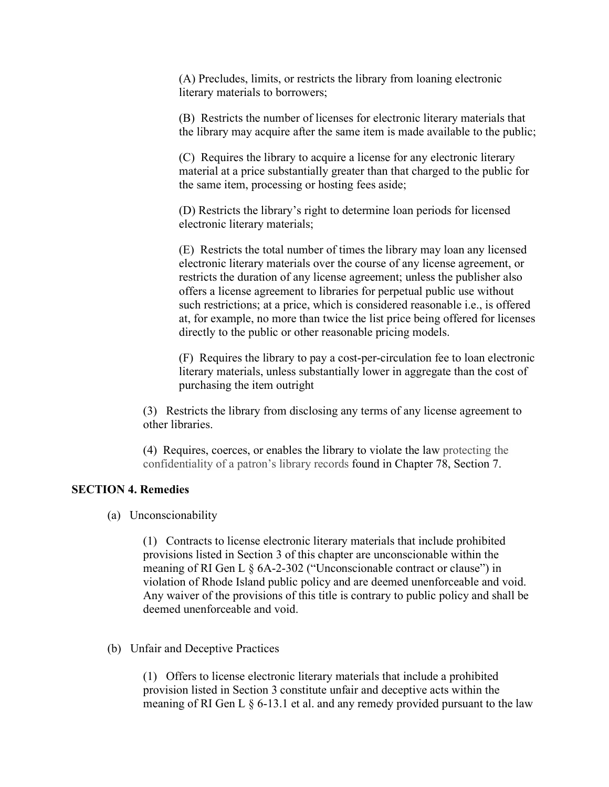(A) Precludes, limits, or restricts the library from loaning electronic literary materials to borrowers;

(B) Restricts the number of licenses for electronic literary materials that the library may acquire after the same item is made available to the public;

(C) Requires the library to acquire a license for any electronic literary material at a price substantially greater than that charged to the public for the same item, processing or hosting fees aside;

(D) Restricts the library's right to determine loan periods for licensed electronic literary materials;

(E) Restricts the total number of times the library may loan any licensed electronic literary materials over the course of any license agreement, or restricts the duration of any license agreement; unless the publisher also offers a license agreement to libraries for perpetual public use without such restrictions; at a price, which is considered reasonable i.e., is offered at, for example, no more than twice the list price being offered for licenses directly to the public or other reasonable pricing models.

(F) Requires the library to pay a cost-per-circulation fee to loan electronic literary materials, unless substantially lower in aggregate than the cost of purchasing the item outright

(3) Restricts the library from disclosing any terms of any license agreement to other libraries.

(4) Requires, coerces, or enables the library to violate the law protecting the confidentiality of a patron's library records found in Chapter 78, Section 7.

#### **SECTION 4. Remedies**

(a) Unconscionability

(1) Contracts to license electronic literary materials that include prohibited provisions listed in Section 3 of this chapter are unconscionable within the meaning of RI Gen L § 6A-2-302 ("Unconscionable contract or clause") in violation of Rhode Island public policy and are deemed unenforceable and void. Any waiver of the provisions of this title is contrary to public policy and shall be deemed unenforceable and void.

#### (b) Unfair and Deceptive Practices

(1) Offers to license electronic literary materials that include a prohibited provision listed in Section 3 constitute unfair and deceptive acts within the meaning of RI Gen L § 6-13.1 et al. and any remedy provided pursuant to the law